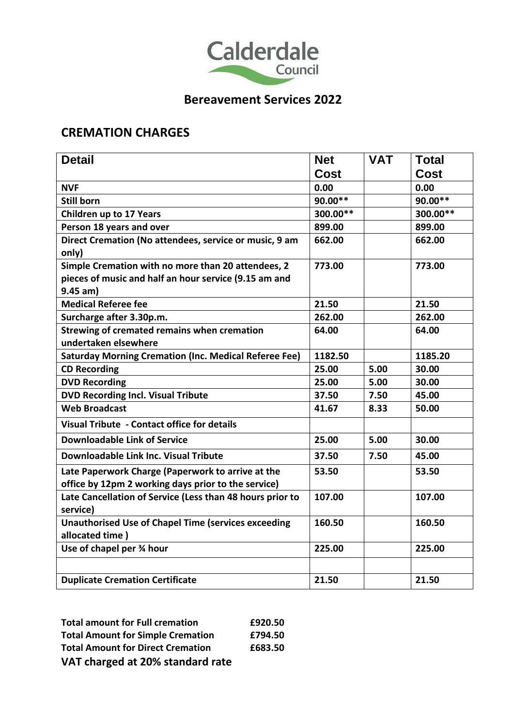

# **Bereavement Services 2022**

#### **CREMATION CHARGES**

| <b>Detail</b>                                                | <b>Net</b> | <b>VAT</b> | <b>Total</b> |
|--------------------------------------------------------------|------------|------------|--------------|
|                                                              | Cost       |            | <b>Cost</b>  |
| <b>NVF</b>                                                   | 0.00       |            | 0.00         |
| <b>Still born</b>                                            | 90.00**    |            | 90.00**      |
| <b>Children up to 17 Years</b>                               | 300.00**   |            | 300.00**     |
| Person 18 years and over                                     | 899.00     |            | 899.00       |
| Direct Cremation (No attendees, service or music, 9 am       | 662.00     |            | 662.00       |
| only)                                                        |            |            |              |
| Simple Cremation with no more than 20 attendees, 2           | 773.00     |            | 773.00       |
| pieces of music and half an hour service (9.15 am and        |            |            |              |
| $9.45$ am)                                                   |            |            |              |
| <b>Medical Referee fee</b>                                   | 21.50      |            | 21.50        |
| Surcharge after 3.30p.m.                                     | 262.00     |            | 262.00       |
| Strewing of cremated remains when cremation                  | 64.00      |            | 64.00        |
| undertaken elsewhere                                         |            |            |              |
| <b>Saturday Morning Cremation (Inc. Medical Referee Fee)</b> | 1182.50    |            | 1185.20      |
| <b>CD Recording</b>                                          | 25.00      | 5.00       | 30.00        |
| <b>DVD Recording</b>                                         | 25.00      | 5.00       | 30.00        |
| <b>DVD Recording Incl. Visual Tribute</b>                    | 37.50      | 7.50       | 45.00        |
| <b>Web Broadcast</b>                                         | 41.67      | 8.33       | 50.00        |
| Visual Tribute - Contact office for details                  |            |            |              |
| <b>Downloadable Link of Service</b>                          | 25.00      | 5.00       | 30.00        |
| Downloadable Link Inc. Visual Tribute                        | 37.50      | 7.50       | 45.00        |
| Late Paperwork Charge (Paperwork to arrive at the            | 53.50      |            | 53.50        |
| office by 12pm 2 working days prior to the service)          |            |            |              |
| Late Cancellation of Service (Less than 48 hours prior to    | 107.00     |            | 107.00       |
| service)                                                     |            |            |              |
| <b>Unauthorised Use of Chapel Time (services exceeding</b>   | 160.50     |            | 160.50       |
| allocated time)                                              |            |            |              |
| Use of chapel per 3⁄4 hour                                   | 225.00     |            | 225.00       |
|                                                              |            |            |              |
| <b>Duplicate Cremation Certificate</b>                       | 21.50      |            | 21.50        |

**Total amount for Full cremation £920.50 Total Amount for Simple Cremation £794.50 Total Amount for Direct Cremation £683.50 VAT charged at 20% standard rate**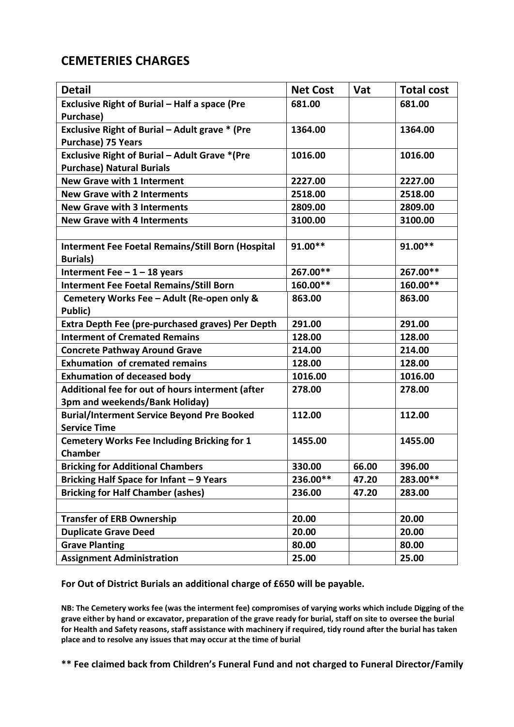#### **CEMETERIES CHARGES**

| <b>Detail</b>                                                                      | <b>Net Cost</b> | Vat   | <b>Total cost</b> |
|------------------------------------------------------------------------------------|-----------------|-------|-------------------|
| Exclusive Right of Burial - Half a space (Pre<br>Purchase)                         | 681.00          |       | 681.00            |
| Exclusive Right of Burial - Adult grave * (Pre<br><b>Purchase) 75 Years</b>        | 1364.00         |       | 1364.00           |
| <b>Exclusive Right of Burial - Adult Grave *(Pre</b>                               | 1016.00         |       | 1016.00           |
| <b>Purchase) Natural Burials</b>                                                   |                 |       |                   |
| <b>New Grave with 1 Interment</b>                                                  | 2227.00         |       | 2227.00           |
| <b>New Grave with 2 Interments</b>                                                 | 2518.00         |       | 2518.00           |
| <b>New Grave with 3 Interments</b>                                                 | 2809.00         |       | 2809.00           |
| <b>New Grave with 4 Interments</b>                                                 | 3100.00         |       | 3100.00           |
|                                                                                    |                 |       |                   |
| <b>Interment Fee Foetal Remains/Still Born (Hospital</b><br><b>Burials)</b>        | 91.00**         |       | 91.00**           |
| Interment Fee $-1-18$ years                                                        | 267.00**        |       | 267.00**          |
| <b>Interment Fee Foetal Remains/Still Born</b>                                     | 160.00**        |       | 160.00**          |
| Cemetery Works Fee - Adult (Re-open only &<br>Public)                              | 863.00          |       | 863.00            |
| <b>Extra Depth Fee (pre-purchased graves) Per Depth</b>                            | 291.00          |       | 291.00            |
| <b>Interment of Cremated Remains</b>                                               | 128.00          |       | 128.00            |
| <b>Concrete Pathway Around Grave</b>                                               | 214.00          |       | 214.00            |
| <b>Exhumation of cremated remains</b>                                              | 128.00          |       | 128.00            |
| <b>Exhumation of deceased body</b>                                                 | 1016.00         |       | 1016.00           |
| Additional fee for out of hours interment (after<br>3pm and weekends/Bank Holiday) | 278.00          |       | 278.00            |
| <b>Burial/Interment Service Beyond Pre Booked</b><br><b>Service Time</b>           | 112.00          |       | 112.00            |
| <b>Cemetery Works Fee Including Bricking for 1</b><br>Chamber                      | 1455.00         |       | 1455.00           |
| <b>Bricking for Additional Chambers</b>                                            | 330.00          | 66.00 | 396.00            |
| Bricking Half Space for Infant - 9 Years                                           | 236.00**        | 47.20 | 283.00**          |
| <b>Bricking for Half Chamber (ashes)</b>                                           | 236.00          | 47.20 | 283.00            |
|                                                                                    |                 |       |                   |
| <b>Transfer of ERB Ownership</b>                                                   | 20.00           |       | 20.00             |
| <b>Duplicate Grave Deed</b>                                                        | 20.00           |       | 20.00             |
| <b>Grave Planting</b>                                                              | 80.00           |       | 80.00             |
| <b>Assignment Administration</b>                                                   | 25.00           |       | 25.00             |

**For Out of District Burials an additional charge of £650 will be payable.**

**NB: The Cemetery works fee (was the interment fee) compromises of varying works which include Digging of the grave either by hand or excavator, preparation of the grave ready for burial, staff on site to oversee the burial for Health and Safety reasons, staff assistance with machinery if required, tidy round after the burial has taken place and to resolve any issues that may occur at the time of burial**

**\*\* Fee claimed back from Children's Funeral Fund and not charged to Funeral Director/Family**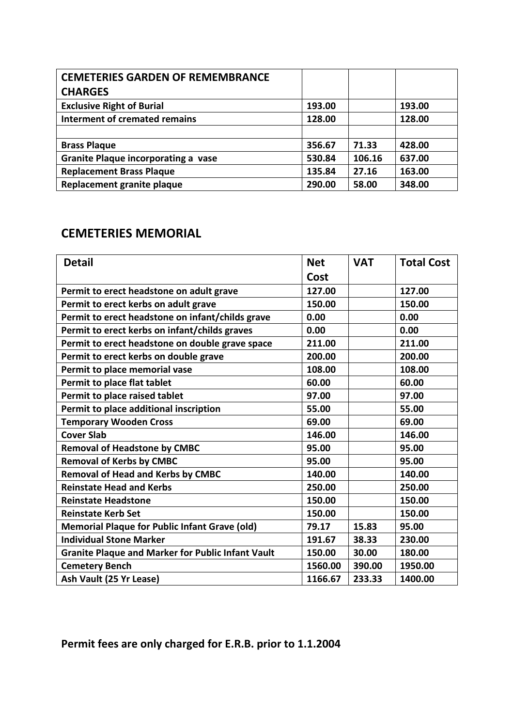| <b>CEMETERIES GARDEN OF REMEMBRANCE</b> |        |        |        |
|-----------------------------------------|--------|--------|--------|
| <b>CHARGES</b>                          |        |        |        |
| <b>Exclusive Right of Burial</b>        | 193.00 |        | 193.00 |
| <b>Interment of cremated remains</b>    | 128.00 |        | 128.00 |
|                                         |        |        |        |
| <b>Brass Plaque</b>                     | 356.67 | 71.33  | 428.00 |
| Granite Plaque incorporating a vase     | 530.84 | 106.16 | 637.00 |
| <b>Replacement Brass Plaque</b>         | 135.84 | 27.16  | 163.00 |
| Replacement granite plaque              | 290.00 | 58.00  | 348.00 |

### **CEMETERIES MEMORIAL**

| <b>Detail</b>                                            | <b>Net</b> | <b>VAT</b> | <b>Total Cost</b> |
|----------------------------------------------------------|------------|------------|-------------------|
|                                                          | Cost       |            |                   |
| Permit to erect headstone on adult grave                 | 127.00     |            | 127.00            |
| Permit to erect kerbs on adult grave                     | 150.00     |            | 150.00            |
| Permit to erect headstone on infant/childs grave         | 0.00       |            | 0.00              |
| Permit to erect kerbs on infant/childs graves            | 0.00       |            | 0.00              |
| Permit to erect headstone on double grave space          | 211.00     |            | 211.00            |
| Permit to erect kerbs on double grave                    | 200.00     |            | 200.00            |
| Permit to place memorial vase                            | 108.00     |            | 108.00            |
| Permit to place flat tablet                              | 60.00      |            | 60.00             |
| Permit to place raised tablet                            | 97.00      |            | 97.00             |
| Permit to place additional inscription                   | 55.00      |            | 55.00             |
| <b>Temporary Wooden Cross</b>                            | 69.00      |            | 69.00             |
| <b>Cover Slab</b>                                        | 146.00     |            | 146.00            |
| <b>Removal of Headstone by CMBC</b>                      | 95.00      |            | 95.00             |
| <b>Removal of Kerbs by CMBC</b>                          | 95.00      |            | 95.00             |
| <b>Removal of Head and Kerbs by CMBC</b>                 | 140.00     |            | 140.00            |
| <b>Reinstate Head and Kerbs</b>                          | 250.00     |            | 250.00            |
| <b>Reinstate Headstone</b>                               | 150.00     |            | 150.00            |
| <b>Reinstate Kerb Set</b>                                | 150.00     |            | 150.00            |
| <b>Memorial Plaque for Public Infant Grave (old)</b>     | 79.17      | 15.83      | 95.00             |
| <b>Individual Stone Marker</b>                           | 191.67     | 38.33      | 230.00            |
| <b>Granite Plaque and Marker for Public Infant Vault</b> | 150.00     | 30.00      | 180.00            |
| <b>Cemetery Bench</b>                                    | 1560.00    | 390.00     | 1950.00           |
| Ash Vault (25 Yr Lease)                                  | 1166.67    | 233.33     | 1400.00           |

# **Permit fees are only charged for E.R.B. prior to 1.1.2004**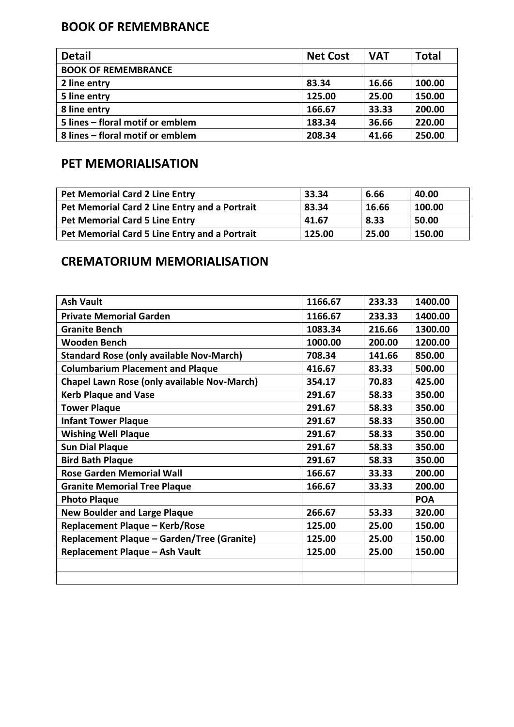## **BOOK OF REMEMBRANCE**

| <b>Detail</b>                    | <b>Net Cost</b> | <b>VAT</b> | <b>Total</b> |
|----------------------------------|-----------------|------------|--------------|
| <b>BOOK OF REMEMBRANCE</b>       |                 |            |              |
| 2 line entry                     | 83.34           | 16.66      | 100.00       |
| 5 line entry                     | 125.00          | 25.00      | 150.00       |
| 8 line entry                     | 166.67          | 33.33      | 200.00       |
| 5 lines - floral motif or emblem | 183.34          | 36.66      | 220.00       |
| 8 lines – floral motif or emblem | 208.34          | 41.66      | 250.00       |

## **PET MEMORIALISATION**

| <b>Pet Memorial Card 2 Line Entry</b>         | 33.34  | 6.66  | 40.00  |
|-----------------------------------------------|--------|-------|--------|
| Pet Memorial Card 2 Line Entry and a Portrait | 83.34  | 16.66 | 100.00 |
| <b>Pet Memorial Card 5 Line Entry</b>         | 41.67  | 8.33  | 50.00  |
| Pet Memorial Card 5 Line Entry and a Portrait | 125.00 | 25.00 | 150.00 |

### **CREMATORIUM MEMORIALISATION**

| <b>Ash Vault</b>                                   | 1166.67 | 233.33 | 1400.00    |
|----------------------------------------------------|---------|--------|------------|
| <b>Private Memorial Garden</b>                     | 1166.67 | 233.33 | 1400.00    |
| <b>Granite Bench</b>                               | 1083.34 | 216.66 | 1300.00    |
| <b>Wooden Bench</b>                                | 1000.00 | 200.00 | 1200.00    |
| <b>Standard Rose (only available Nov-March)</b>    | 708.34  | 141.66 | 850.00     |
| <b>Columbarium Placement and Plaque</b>            | 416.67  | 83.33  | 500.00     |
| <b>Chapel Lawn Rose (only available Nov-March)</b> | 354.17  | 70.83  | 425.00     |
| <b>Kerb Plaque and Vase</b>                        | 291.67  | 58.33  | 350.00     |
| <b>Tower Plaque</b>                                | 291.67  | 58.33  | 350.00     |
| <b>Infant Tower Plaque</b>                         | 291.67  | 58.33  | 350.00     |
| <b>Wishing Well Plaque</b>                         | 291.67  | 58.33  | 350.00     |
| <b>Sun Dial Plaque</b>                             | 291.67  | 58.33  | 350.00     |
| <b>Bird Bath Plaque</b>                            | 291.67  | 58.33  | 350.00     |
| <b>Rose Garden Memorial Wall</b>                   | 166.67  | 33.33  | 200.00     |
| <b>Granite Memorial Tree Plaque</b>                | 166.67  | 33.33  | 200.00     |
| <b>Photo Plaque</b>                                |         |        | <b>POA</b> |
| <b>New Boulder and Large Plaque</b>                | 266.67  | 53.33  | 320.00     |
| Replacement Plaque - Kerb/Rose                     | 125.00  | 25.00  | 150.00     |
| Replacement Plaque - Garden/Tree (Granite)         | 125.00  | 25.00  | 150.00     |
| Replacement Plaque - Ash Vault                     | 125.00  | 25.00  | 150.00     |
|                                                    |         |        |            |
|                                                    |         |        |            |